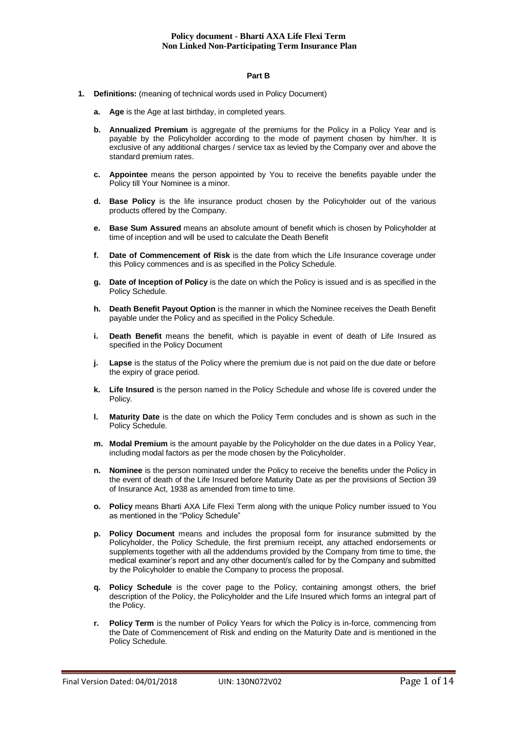### **Part B**

- **1. Definitions:** (meaning of technical words used in Policy Document)
	- **a. Age** is the Age at last birthday, in completed years.
	- **b. Annualized Premium** is aggregate of the premiums for the Policy in a Policy Year and is payable by the Policyholder according to the mode of payment chosen by him/her. It is exclusive of any additional charges / service tax as levied by the Company over and above the standard premium rates.
	- **c. Appointee** means the person appointed by You to receive the benefits payable under the Policy till Your Nominee is a minor.
	- **d. Base Policy** is the life insurance product chosen by the Policyholder out of the various products offered by the Company.
	- **e. Base Sum Assured** means an absolute amount of benefit which is chosen by Policyholder at time of inception and will be used to calculate the Death Benefit
	- **f. Date of Commencement of Risk** is the date from which the Life Insurance coverage under this Policy commences and is as specified in the Policy Schedule.
	- **g. Date of Inception of Policy** is the date on which the Policy is issued and is as specified in the Policy Schedule.
	- **h. Death Benefit Payout Option** is the manner in which the Nominee receives the Death Benefit payable under the Policy and as specified in the Policy Schedule.
	- **i.** Death Benefit means the benefit, which is payable in event of death of Life Insured as specified in the Policy Document
	- **j. Lapse** is the status of the Policy where the premium due is not paid on the due date or before the expiry of grace period.
	- **k. Life Insured** is the person named in the Policy Schedule and whose life is covered under the Policy.
	- **l. Maturity Date** is the date on which the Policy Term concludes and is shown as such in the Policy Schedule.
	- **m. Modal Premium** is the amount payable by the Policyholder on the due dates in a Policy Year, including modal factors as per the mode chosen by the Policyholder.
	- **n. Nominee** is the person nominated under the Policy to receive the benefits under the Policy in the event of death of the Life Insured before Maturity Date as per the provisions of Section 39 of Insurance Act, 1938 as amended from time to time.
	- **o. Policy** means Bharti AXA Life Flexi Term along with the unique Policy number issued to You as mentioned in the "Policy Schedule"
	- **p. Policy Document** means and includes the proposal form for insurance submitted by the Policyholder, the Policy Schedule, the first premium receipt, any attached endorsements or supplements together with all the addendums provided by the Company from time to time, the medical examiner's report and any other document/s called for by the Company and submitted by the Policyholder to enable the Company to process the proposal.
	- **q. Policy Schedule** is the cover page to the Policy, containing amongst others, the brief description of the Policy, the Policyholder and the Life Insured which forms an integral part of the Policy.
	- **r. Policy Term** is the number of Policy Years for which the Policy is in-force, commencing from the Date of Commencement of Risk and ending on the Maturity Date and is mentioned in the Policy Schedule.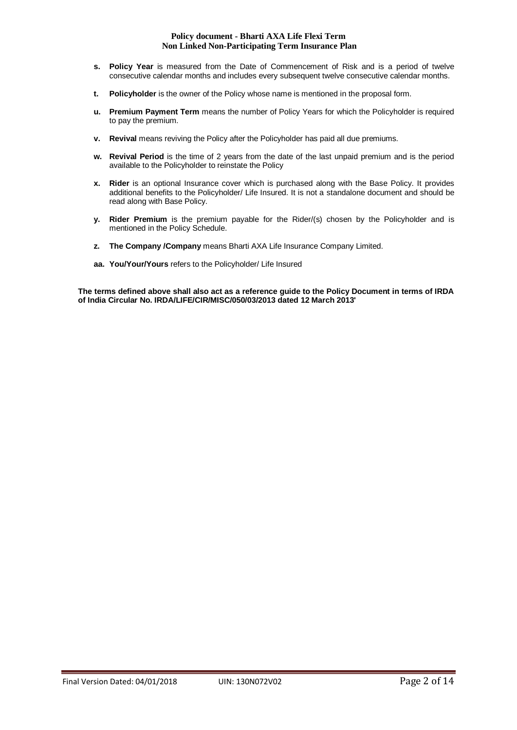- **s. Policy Year** is measured from the Date of Commencement of Risk and is a period of twelve consecutive calendar months and includes every subsequent twelve consecutive calendar months.
- **t. Policyholder** is the owner of the Policy whose name is mentioned in the proposal form.
- **u. Premium Payment Term** means the number of Policy Years for which the Policyholder is required to pay the premium.
- **v. Revival** means reviving the Policy after the Policyholder has paid all due premiums.
- **w. Revival Period** is the time of 2 years from the date of the last unpaid premium and is the period available to the Policyholder to reinstate the Policy
- **x. Rider** is an optional Insurance cover which is purchased along with the Base Policy. It provides additional benefits to the Policyholder/ Life Insured. It is not a standalone document and should be read along with Base Policy.
- **y. Rider Premium** is the premium payable for the Rider/(s) chosen by the Policyholder and is mentioned in the Policy Schedule.
- **z. The Company /Company** means Bharti AXA Life Insurance Company Limited.
- **aa. You/Your/Yours** refers to the Policyholder/ Life Insured

**The terms defined above shall also act as a reference guide to the Policy Document in terms of IRDA of India Circular No. IRDA/LIFE/CIR/MISC/050/03/2013 dated 12 March 2013'**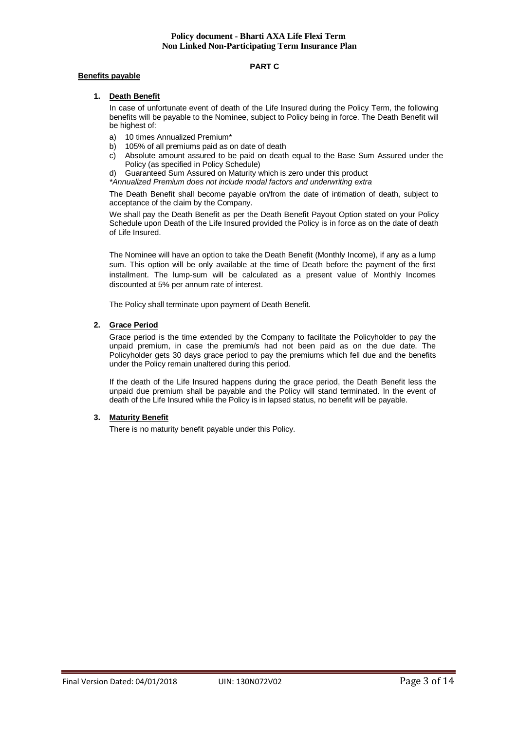### **PART C**

# **Benefits payable**

# **1. Death Benefit**

In case of unfortunate event of death of the Life Insured during the Policy Term, the following benefits will be payable to the Nominee, subject to Policy being in force. The Death Benefit will be highest of:

- a) 10 times Annualized Premium\*<br>b) 105% of all premiums paid as of
- 105% of all premiums paid as on date of death
- c) Absolute amount assured to be paid on death equal to the Base Sum Assured under the Policy (as specified in Policy Schedule)
- d) Guaranteed Sum Assured on Maturity which is zero under this product
- *\*Annualized Premium does not include modal factors and underwriting extra*

The Death Benefit shall become payable on/from the date of intimation of death, subject to acceptance of the claim by the Company.

We shall pay the Death Benefit as per the Death Benefit Payout Option stated on your Policy Schedule upon Death of the Life Insured provided the Policy is in force as on the date of death of Life Insured.

The Nominee will have an option to take the Death Benefit (Monthly Income), if any as a lump sum. This option will be only available at the time of Death before the payment of the first installment. The lump-sum will be calculated as a present value of Monthly Incomes discounted at 5% per annum rate of interest.

The Policy shall terminate upon payment of Death Benefit.

### **2. Grace Period**

Grace period is the time extended by the Company to facilitate the Policyholder to pay the unpaid premium, in case the premium/s had not been paid as on the due date. The Policyholder gets 30 days grace period to pay the premiums which fell due and the benefits under the Policy remain unaltered during this period.

If the death of the Life Insured happens during the grace period, the Death Benefit less the unpaid due premium shall be payable and the Policy will stand terminated. In the event of death of the Life Insured while the Policy is in lapsed status, no benefit will be payable.

### **3. Maturity Benefit**

There is no maturity benefit payable under this Policy.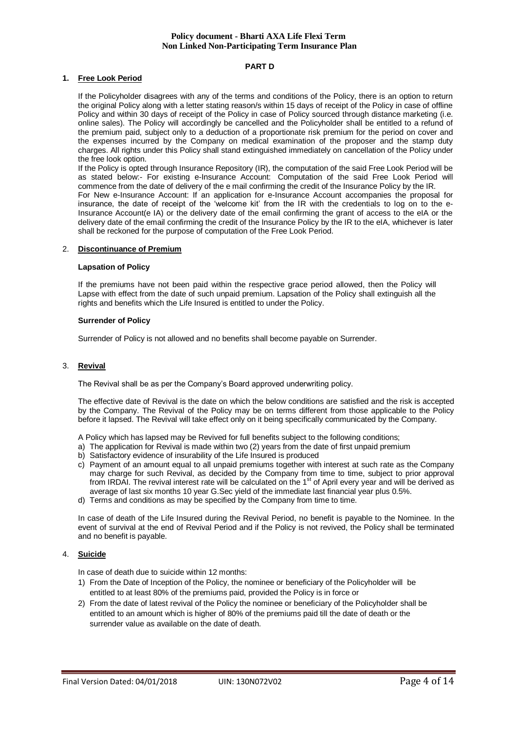### **PART D**

### **1. Free Look Period**

If the Policyholder disagrees with any of the terms and conditions of the Policy, there is an option to return the original Policy along with a letter stating reason/s within 15 days of receipt of the Policy in case of offline Policy and within 30 days of receipt of the Policy in case of Policy sourced through distance marketing (i.e. online sales). The Policy will accordingly be cancelled and the Policyholder shall be entitled to a refund of the premium paid, subject only to a deduction of a proportionate risk premium for the period on cover and the expenses incurred by the Company on medical examination of the proposer and the stamp duty charges. All rights under this Policy shall stand extinguished immediately on cancellation of the Policy under the free look option.

If the Policy is opted through Insurance Repository (IR), the computation of the said Free Look Period will be as stated below:- For existing e-Insurance Account: Computation of the said Free Look Period will commence from the date of delivery of the e mail confirming the credit of the Insurance Policy by the IR. For New e-Insurance Account: If an application for e-Insurance Account accompanies the proposal for insurance, the date of receipt of the 'welcome kit' from the IR with the credentials to log on to the e-Insurance Account(e IA) or the delivery date of the email confirming the grant of access to the eIA or the delivery date of the email confirming the credit of the Insurance Policy by the IR to the eIA, whichever is later shall be reckoned for the purpose of computation of the Free Look Period.

### 2. **Discontinuance of Premium**

# **Lapsation of Policy**

If the premiums have not been paid within the respective grace period allowed, then the Policy will Lapse with effect from the date of such unpaid premium. Lapsation of the Policy shall extinguish all the rights and benefits which the Life Insured is entitled to under the Policy.

### **Surrender of Policy**

Surrender of Policy is not allowed and no benefits shall become payable on Surrender.

# 3. **Revival**

The Revival shall be as per the Company's Board approved underwriting policy.

The effective date of Revival is the date on which the below conditions are satisfied and the risk is accepted by the Company. The Revival of the Policy may be on terms different from those applicable to the Policy before it lapsed. The Revival will take effect only on it being specifically communicated by the Company.

A Policy which has lapsed may be Revived for full benefits subject to the following conditions;

- a) The application for Revival is made within two (2) years from the date of first unpaid premium
- b) Satisfactory evidence of insurability of the Life Insured is produced
- c) Payment of an amount equal to all unpaid premiums together with interest at such rate as the Company may charge for such Revival, as decided by the Company from time to time, subject to prior approval from IRDAI. The revival interest rate will be calculated on the 1<sup>st</sup> of April every year and will be derived as average of last six months 10 year G.Sec yield of the immediate last financial year plus 0.5%.
- d) Terms and conditions as may be specified by the Company from time to time.

In case of death of the Life Insured during the Revival Period, no benefit is payable to the Nominee. In the event of survival at the end of Revival Period and if the Policy is not revived, the Policy shall be terminated and no benefit is payable.

### 4. **Suicide**

In case of death due to suicide within 12 months:

- 1) From the Date of Inception of the Policy, the nominee or beneficiary of the Policyholder will be entitled to at least 80% of the premiums paid, provided the Policy is in force or
- 2) From the date of latest revival of the Policy the nominee or beneficiary of the Policyholder shall be entitled to an amount which is higher of 80% of the premiums paid till the date of death or the surrender value as available on the date of death.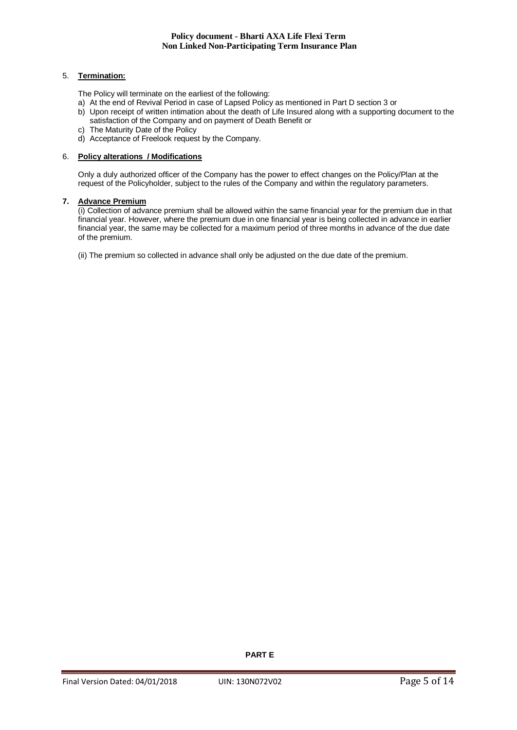# 5. **Termination:**

The Policy will terminate on the earliest of the following:

- a) At the end of Revival Period in case of Lapsed Policy as mentioned in Part D section 3 or
- b) Upon receipt of written intimation about the death of Life Insured along with a supporting document to the satisfaction of the Company and on payment of Death Benefit or
- c) The Maturity Date of the Policy
- d) Acceptance of Freelook request by the Company.

# 6. **Policy alterations / Modifications**

Only a duly authorized officer of the Company has the power to effect changes on the Policy/Plan at the request of the Policyholder, subject to the rules of the Company and within the regulatory parameters.

### **7. Advance Premium**

(i) Collection of advance premium shall be allowed within the same financial year for the premium due in that financial year. However, where the premium due in one financial year is being collected in advance in earlier financial year, the same may be collected for a maximum period of three months in advance of the due date of the premium.

(ii) The premium so collected in advance shall only be adjusted on the due date of the premium.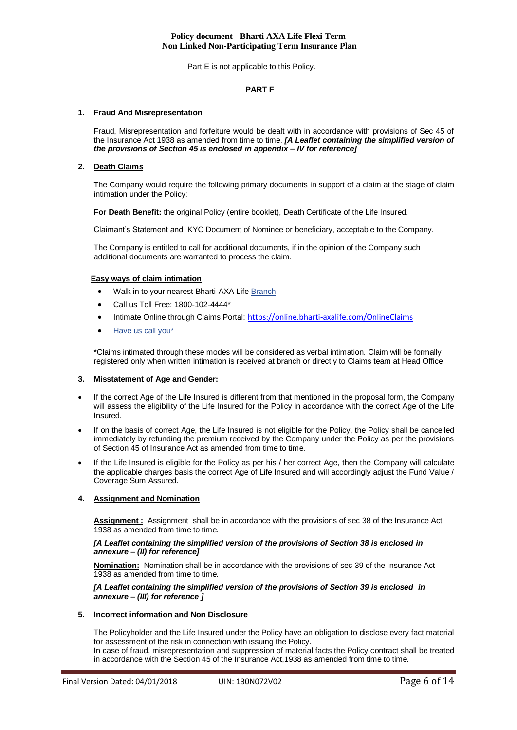Part E is not applicable to this Policy.

### **PART F**

# **1. Fraud And Misrepresentation**

Fraud, Misrepresentation and forfeiture would be dealt with in accordance with provisions of Sec 45 of the Insurance Act 1938 as amended from time to time. *[A Leaflet containing the simplified version of the provisions of Section 45 is enclosed in appendix – IV for reference]*

# **2. Death Claims**

The Company would require the following primary documents in support of a claim at the stage of claim intimation under the Policy:

**For Death Benefit:** the original Policy (entire booklet), Death Certificate of the Life Insured.

Claimant's Statement and KYC Document of Nominee or beneficiary, acceptable to the Company.

The Company is entitled to call for additional documents, if in the opinion of the Company such additional documents are warranted to process the claim.

### **Easy ways of claim intimation**

- Walk in to your nearest Bharti-AXA Life [Branch](https://www.bharti-axalife.com/applications/branches/)
- Call us Toll Free: 1800-102-4444\*
- Intimate Online through Claims Portal: <https://online.bharti-axalife.com/OnlineClaims>
- [Have us call you\\*](https://www.bharti-axalife.com/applications/contactus/)

\*Claims intimated through these modes will be considered as verbal intimation. Claim will be formally registered only when written intimation is received at branch or directly to Claims team at Head Office

### **3. Misstatement of Age and Gender:**

- If the correct Age of the Life Insured is different from that mentioned in the proposal form, the Company will assess the eligibility of the Life Insured for the Policy in accordance with the correct Age of the Life Insured.
- If on the basis of correct Age, the Life Insured is not eligible for the Policy, the Policy shall be cancelled immediately by refunding the premium received by the Company under the Policy as per the provisions of Section 45 of Insurance Act as amended from time to time.
- If the Life Insured is eligible for the Policy as per his / her correct Age, then the Company will calculate the applicable charges basis the correct Age of Life Insured and will accordingly adjust the Fund Value / Coverage Sum Assured.

# **4. Assignment and Nomination**

**Assignment :** Assignment shall be in accordance with the provisions of sec 38 of the Insurance Act 1938 as amended from time to time.

### *[A Leaflet containing the simplified version of the provisions of Section 38 is enclosed in annexure – (II) for reference]*

**Nomination:** Nomination shall be in accordance with the provisions of sec 39 of the Insurance Act 1938 as amended from time to time.

### *[A Leaflet containing the simplified version of the provisions of Section 39 is enclosed in annexure – (III) for reference ]*

### **5. Incorrect information and Non Disclosure**

The Policyholder and the Life Insured under the Policy have an obligation to disclose every fact material for assessment of the risk in connection with issuing the Policy.

In case of fraud, misrepresentation and suppression of material facts the Policy contract shall be treated in accordance with the Section 45 of the Insurance Act,1938 as amended from time to time.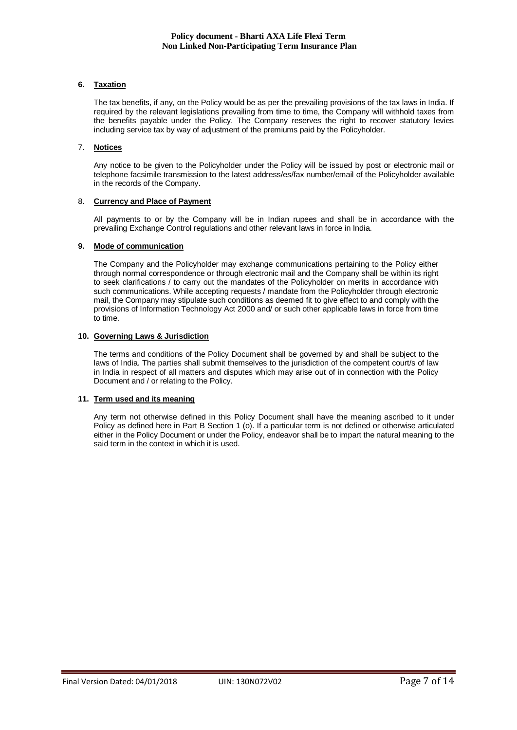# **6. Taxation**

The tax benefits, if any, on the Policy would be as per the prevailing provisions of the tax laws in India. If required by the relevant legislations prevailing from time to time, the Company will withhold taxes from the benefits payable under the Policy. The Company reserves the right to recover statutory levies including service tax by way of adjustment of the premiums paid by the Policyholder.

# 7. **Notices**

Any notice to be given to the Policyholder under the Policy will be issued by post or electronic mail or telephone facsimile transmission to the latest address/es/fax number/email of the Policyholder available in the records of the Company.

# 8. **Currency and Place of Payment**

All payments to or by the Company will be in Indian rupees and shall be in accordance with the prevailing Exchange Control regulations and other relevant laws in force in India.

# **9. Mode of communication**

The Company and the Policyholder may exchange communications pertaining to the Policy either through normal correspondence or through electronic mail and the Company shall be within its right to seek clarifications / to carry out the mandates of the Policyholder on merits in accordance with such communications. While accepting requests / mandate from the Policyholder through electronic mail, the Company may stipulate such conditions as deemed fit to give effect to and comply with the provisions of Information Technology Act 2000 and/ or such other applicable laws in force from time to time.

# **10. Governing Laws & Jurisdiction**

The terms and conditions of the Policy Document shall be governed by and shall be subject to the laws of India. The parties shall submit themselves to the jurisdiction of the competent court/s of law in India in respect of all matters and disputes which may arise out of in connection with the Policy Document and / or relating to the Policy.

# **11. Term used and its meaning**

Any term not otherwise defined in this Policy Document shall have the meaning ascribed to it under Policy as defined here in Part B Section 1 (o). If a particular term is not defined or otherwise articulated either in the Policy Document or under the Policy, endeavor shall be to impart the natural meaning to the said term in the context in which it is used.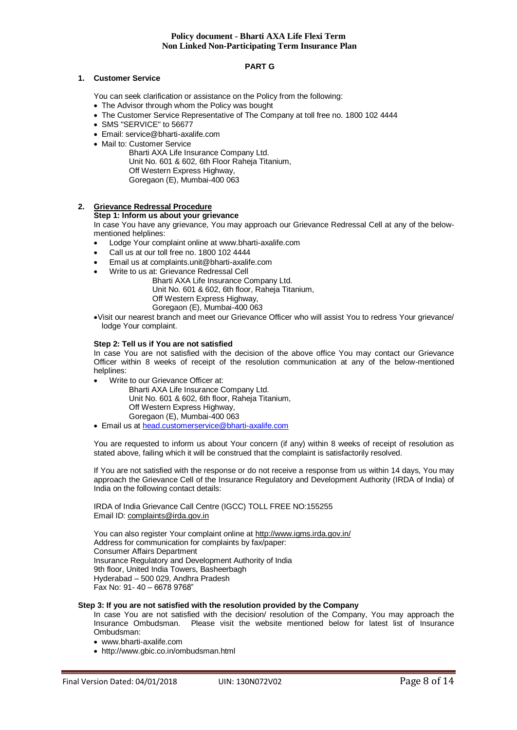# **PART G**

### **1. Customer Service**

You can seek clarification or assistance on the Policy from the following:

- The Advisor through whom the Policy was bought
- The Customer Service Representative of The Company at toll free no. 1800 102 4444
- SMS "SERVICE" to 56677
- Email: service@bharti-axalife.com
- Mail to: Customer Service

Bharti AXA Life Insurance Company Ltd. Unit No. 601 & 602, 6th Floor Raheja Titanium, Off Western Express Highway, Goregaon (E), Mumbai-400 063

# **2. Grievance Redressal Procedure**

## **Step 1: Inform us about your grievance**

In case You have any grievance, You may approach our Grievance Redressal Cell at any of the belowmentioned helplines:

- Lodge Your complaint online at www.bharti-axalife.com
- Call us at our toll free no. 1800 102 4444
- Email us at complaints.unit@bharti-axalife.com
- Write to us at: Grievance Redressal Cell

Bharti AXA Life Insurance Company Ltd. Unit No. 601 & 602, 6th floor, Raheja Titanium, Off Western Express Highway,

Goregaon (E), Mumbai-400 063

Visit our nearest branch and meet our Grievance Officer who will assist You to redress Your grievance/ lodge Your complaint.

### **Step 2: Tell us if You are not satisfied**

In case You are not satisfied with the decision of the above office You may contact our Grievance Officer within 8 weeks of receipt of the resolution communication at any of the below-mentioned helplines:

Write to our Grievance Officer at:

Bharti AXA Life Insurance Company Ltd. Unit No. 601 & 602, 6th floor, Raheja Titanium, Off Western Express Highway, Goregaon (E), Mumbai-400 063

Email us at [head.customerservice@bharti-axalife.com](mailto:head.customerservice@bharti-axalife.com)

You are requested to inform us about Your concern (if any) within 8 weeks of receipt of resolution as stated above, failing which it will be construed that the complaint is satisfactorily resolved.

If You are not satisfied with the response or do not receive a response from us within 14 days, You may approach the Grievance Cell of the Insurance Regulatory and Development Authority (IRDA of India) of India on the following contact details:

IRDA of India Grievance Call Centre (IGCC) TOLL FREE NO:155255 Email ID: [complaints@irda.gov.in](mailto:complaints@irda.gov.in)

You can also register Your complaint online at<http://www.igms.irda.gov.in/> Address for communication for complaints by fax/paper: Consumer Affairs Department Insurance Regulatory and Development Authority of India 9th floor, United India Towers, Basheerbagh Hyderabad – 500 029, Andhra Pradesh Fax No: 91- 40 – 6678 9768"

### **Step 3: If you are not satisfied with the resolution provided by the Company**

In case You are not satisfied with the decision/ resolution of the Company, You may approach the Insurance Ombudsman. Please visit the website mentioned below for latest list of Insurance Ombudsman:

- www.bharti-axalife.com
- http://www.gbic.co.in/ombudsman.html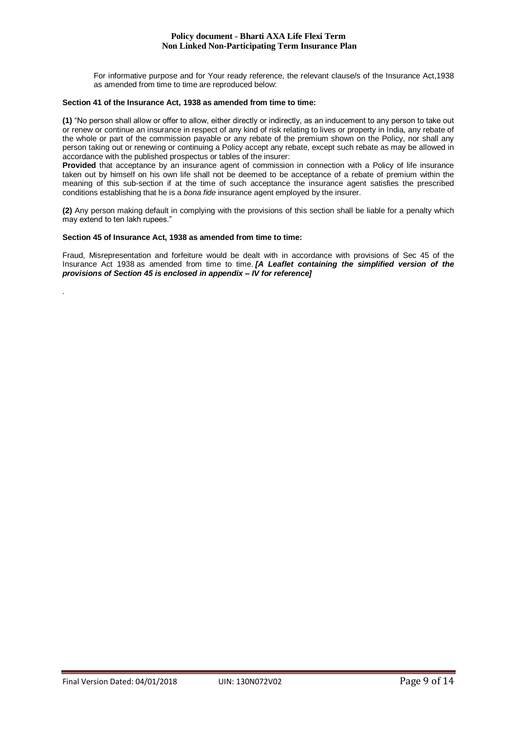For informative purpose and for Your ready reference, the relevant clause/s of the Insurance Act,1938 as amended from time to time are reproduced below:

### **Section 41 of the Insurance Act, 1938 as amended from time to time:**

**(1)** "No person shall allow or offer to allow, either directly or indirectly, as an inducement to any person to take out or renew or continue an insurance in respect of any kind of risk relating to lives or property in India, any rebate of the whole or part of the commission payable or any rebate of the premium shown on the Policy, nor shall any person taking out or renewing or continuing a Policy accept any rebate, except such rebate as may be allowed in accordance with the published prospectus or tables of the insurer:

**Provided** that acceptance by an insurance agent of commission in connection with a Policy of life insurance taken out by himself on his own life shall not be deemed to be acceptance of a rebate of premium within the meaning of this sub-section if at the time of such acceptance the insurance agent satisfies the prescribed conditions establishing that he is a *bona fide* insurance agent employed by the insurer.

**(2)** Any person making default in complying with the provisions of this section shall be liable for a penalty which may extend to ten lakh rupees."

### **Section 45 of Insurance Act, 1938 as amended from time to time:**

.

Fraud, Misrepresentation and forfeiture would be dealt with in accordance with provisions of Sec 45 of the Insurance Act 1938 as amended from time to time. *[A Leaflet containing the simplified version of the provisions of Section 45 is enclosed in appendix – IV for reference]*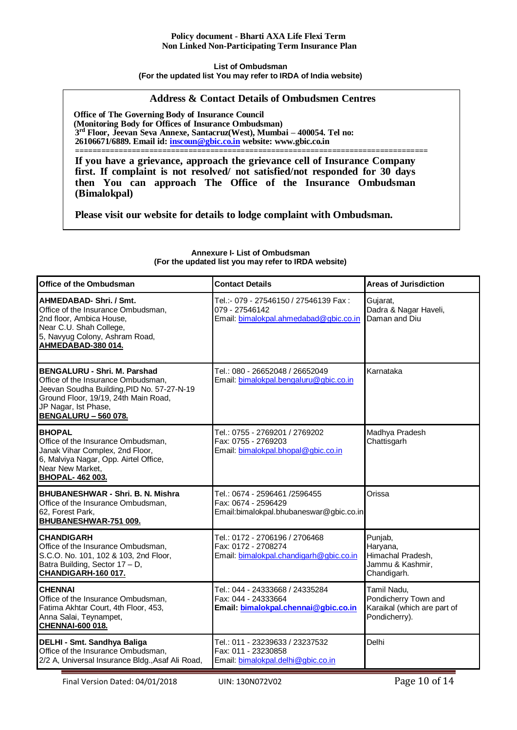# **List of Ombudsman (For the updated list You may refer to IRDA of India website)**

# **Address & Contact Details of Ombudsmen Centres**

**Office of The Governing Body of Insurance Council (Monitoring Body for Offices of Insurance Ombudsman) 3 rd Floor, Jeevan Seva Annexe, Santacruz(West), Mumbai – 400054. Tel no: 26106671/6889. Email id: [inscoun@gbic.co.in](mailto:inscoun@gbic.co.in) website: [www.gbic.co.in](http://www.gbic.co.in/)**

**================================================================================= If you have a grievance, approach the grievance cell of Insurance Company first. If complaint is not resolved/ not satisfied/not responded for 30 days then You can approach The Office of the Insurance Ombudsman (Bimalokpal)** 

**Please visit our website for details to lodge complaint with Ombudsman.**

| Office of the Ombudsman                                                                                                                                                                                         | <b>Contact Details</b>                                                                            | <b>Areas of Jurisdiction</b>                                                        |
|-----------------------------------------------------------------------------------------------------------------------------------------------------------------------------------------------------------------|---------------------------------------------------------------------------------------------------|-------------------------------------------------------------------------------------|
| AHMEDABAD-Shri. / Smt.<br>Office of the Insurance Ombudsman,<br>2nd floor, Ambica House,<br>Near C.U. Shah College,<br>5, Navyug Colony, Ashram Road,<br>AHMEDABAD-380 014.                                     | Tel.:- 079 - 27546150 / 27546139 Fax:<br>079 - 27546142<br>Email: bimalokpal.ahmedabad@gbic.co.in | Gujarat,<br>Dadra & Nagar Haveli,<br>Daman and Diu                                  |
| BENGALURU - Shri. M. Parshad<br>Office of the Insurance Ombudsman.<br>Jeevan Soudha Building, PID No. 57-27-N-19<br>Ground Floor, 19/19, 24th Main Road,<br>JP Nagar, Ist Phase,<br><b>BENGALURU - 560 078.</b> | Tel.: 080 - 26652048 / 26652049<br>Email: bimalokpal.bengaluru@gbic.co.in                         | Karnataka                                                                           |
| <b>BHOPAL</b><br>Office of the Insurance Ombudsman,<br>Janak Vihar Complex, 2nd Floor,<br>6, Malviya Nagar, Opp. Airtel Office,<br>Near New Market,<br><b>BHOPAL-462003.</b>                                    | Tel.: 0755 - 2769201 / 2769202<br>Fax: 0755 - 2769203<br>Email: bimalokpal.bhopal@gbic.co.in      | Madhya Pradesh<br>Chattisgarh                                                       |
| <b>BHUBANESHWAR - Shri. B. N. Mishra</b><br>Office of the Insurance Ombudsman,<br>62, Forest Park,<br>BHUBANESHWAR-751 009.                                                                                     | Tel.: 0674 - 2596461 /2596455<br>Fax: 0674 - 2596429<br>Email:bimalokpal.bhubaneswar@gbic.co.in   | Orissa                                                                              |
| <b>CHANDIGARH</b><br>Office of the Insurance Ombudsman,<br>S.C.O. No. 101, 102 & 103, 2nd Floor,<br>Batra Building, Sector 17 - D,<br>CHANDIGARH-160 017.                                                       | Tel.: 0172 - 2706196 / 2706468<br>Fax: 0172 - 2708274<br>Email: bimalokpal.chandigarh@gbic.co.in  | Punjab,<br>Haryana,<br>Himachal Pradesh,<br>Jammu & Kashmir,<br>Chandigarh.         |
| <b>CHENNAI</b><br>Office of the Insurance Ombudsman,<br>Fatima Akhtar Court, 4th Floor, 453,<br>Anna Salai, Teynampet,<br>CHENNAI-600 018.                                                                      | Tel.: 044 - 24333668 / 24335284<br>Fax: 044 - 24333664<br>Email: bimalokpal.chennai@gbic.co.in    | Tamil Nadu,<br>Pondicherry Town and<br>Karaikal (which are part of<br>Pondicherry). |
| DELHI - Smt. Sandhya Baliga<br>Office of the Insurance Ombudsman,<br>2/2 A, Universal Insurance Bldg., Asaf Ali Road,                                                                                           | Tel.: 011 - 23239633 / 23237532<br>Fax: 011 - 23230858<br>Email: bimalokpal.delhi@gbic.co.in      | Delhi                                                                               |

### **Annexure I- List of Ombudsman (For the updated list you may refer to IRDA website)**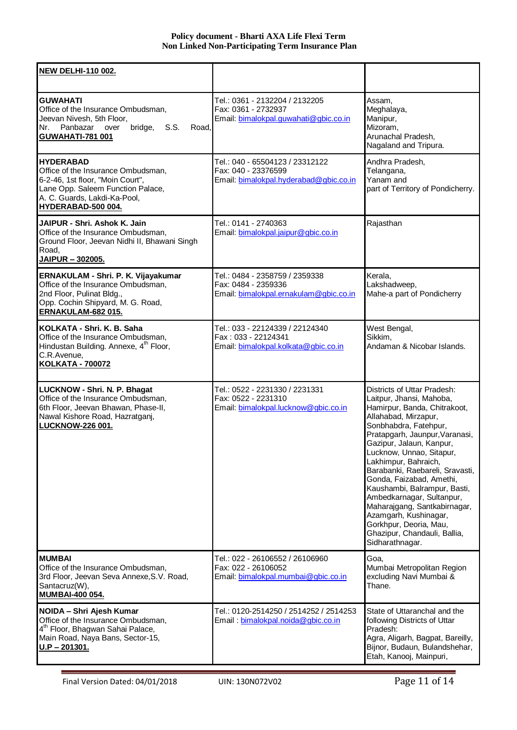| <b>NEW DELHI-110 002.</b>                                                                                                                                                             |                                                                                                  |                                                                                                                                                                                                                                                                                                                                                                                                                                                                                                                              |
|---------------------------------------------------------------------------------------------------------------------------------------------------------------------------------------|--------------------------------------------------------------------------------------------------|------------------------------------------------------------------------------------------------------------------------------------------------------------------------------------------------------------------------------------------------------------------------------------------------------------------------------------------------------------------------------------------------------------------------------------------------------------------------------------------------------------------------------|
| <b>GUWAHATI</b><br>Office of the Insurance Ombudsman,<br>Jeevan Nivesh, 5th Floor,<br>Panbazar over<br>bridge,<br>S.S.<br>Nr.<br>Road.<br><b>GUWAHATI-781 001</b>                     | Tel.: 0361 - 2132204 / 2132205<br>Fax: 0361 - 2732937<br>Email: bimalokpal.guwahati@gbic.co.in   | Assam,<br>Meghalaya,<br>Manipur,<br>Mizoram,<br>Arunachal Pradesh,<br>Nagaland and Tripura.                                                                                                                                                                                                                                                                                                                                                                                                                                  |
| <b>HYDERABAD</b><br>Office of the Insurance Ombudsman,<br>6-2-46, 1st floor, "Moin Court",<br>Lane Opp. Saleem Function Palace,<br>A. C. Guards, Lakdi-Ka-Pool,<br>HYDERABAD-500 004. | Tel.: 040 - 65504123 / 23312122<br>Fax: 040 - 23376599<br>Email: bimalokpal.hyderabad@gbic.co.in | Andhra Pradesh,<br>Telangana,<br>Yanam and<br>part of Territory of Pondicherry.                                                                                                                                                                                                                                                                                                                                                                                                                                              |
| JAIPUR - Shri. Ashok K. Jain<br>Office of the Insurance Ombudsman,<br>Ground Floor, Jeevan Nidhi II, Bhawani Singh<br>Road,<br>JAIPUR - 302005.                                       | Tel.: 0141 - 2740363<br>Email: bimalokpal.jaipur@gbic.co.in                                      | Rajasthan                                                                                                                                                                                                                                                                                                                                                                                                                                                                                                                    |
| ERNAKULAM - Shri. P. K. Vijayakumar<br>Office of the Insurance Ombudsman,<br>2nd Floor, Pulinat Bldg.,<br>Opp. Cochin Shipyard, M. G. Road,<br><b>ERNAKULAM-682 015.</b>              | Tel.: 0484 - 2358759 / 2359338<br>Fax: 0484 - 2359336<br>Email: bimalokpal.ernakulam@gbic.co.in  | Kerala,<br>Lakshadweep,<br>Mahe-a part of Pondicherry                                                                                                                                                                                                                                                                                                                                                                                                                                                                        |
| KOLKATA - Shri, K. B. Saha<br>Office of the Insurance Ombudsman,<br>Hindustan Building. Annexe, 4 <sup>th</sup> Floor,<br>C.R.Avenue,<br><b>KOLKATA - 700072</b>                      | Tel.: 033 - 22124339 / 22124340<br>Fax: 033 - 22124341<br>Email: bimalokpal.kolkata@gbic.co.in   | West Bengal,<br>Sikkim,<br>Andaman & Nicobar Islands.                                                                                                                                                                                                                                                                                                                                                                                                                                                                        |
| <b>LUCKNOW - Shri. N. P. Bhagat</b><br>Office of the Insurance Ombudsman,<br>6th Floor, Jeevan Bhawan, Phase-II,<br>Nawal Kishore Road, Hazratganj,<br>LUCKNOW-226 001.               | Tel.: 0522 - 2231330 / 2231331<br>Fax: 0522 - 2231310<br>Email: bimalokpal.lucknow@gbic.co.in    | Districts of Uttar Pradesh:<br>Laitpur, Jhansi, Mahoba,<br>Hamirpur, Banda, Chitrakoot,<br>Allahabad, Mirzapur,<br>Sonbhabdra, Fatehpur,<br>Pratapgarh, Jaunpur, Varanasi,<br>Gazipur, Jalaun, Kanpur,<br>Lucknow, Unnao, Sitapur,<br>Lakhimpur, Bahraich,<br>Barabanki, Raebareli, Sravasti,<br>Gonda, Faizabad, Amethi,<br>Kaushambi, Balrampur, Basti,<br>Ambedkarnagar, Sultanpur,<br>Maharajgang, Santkabirnagar,<br>Azamgarh, Kushinagar,<br>Gorkhpur, Deoria, Mau,<br>Ghazipur, Chandauli, Ballia,<br>Sidharathnagar. |
| <b>MUMBAI</b><br>Office of the Insurance Ombudsman,<br>3rd Floor, Jeevan Seva Annexe, S.V. Road,<br>Santacruz(W),<br><b>MUMBAI-400 054.</b>                                           | Tel.: 022 - 26106552 / 26106960<br>Fax: 022 - 26106052<br>Email: bimalokpal.mumbai@gbic.co.in    | Goa,<br>Mumbai Metropolitan Region<br>excluding Navi Mumbai &<br>Thane.                                                                                                                                                                                                                                                                                                                                                                                                                                                      |
| NOIDA - Shri Ajesh Kumar<br>Office of the Insurance Ombudsman,<br>4 <sup>th</sup> Floor, Bhagwan Sahai Palace,<br>Main Road, Naya Bans, Sector-15,<br>$U.P - 201301.$                 | Tel.: 0120-2514250 / 2514252 / 2514253<br>Email: bimalokpal.noida@gbic.co.in                     | State of Uttaranchal and the<br>following Districts of Uttar<br>Pradesh:<br>Agra, Aligarh, Bagpat, Bareilly,<br>Bijnor, Budaun, Bulandshehar,<br>Etah, Kanooj, Mainpuri,                                                                                                                                                                                                                                                                                                                                                     |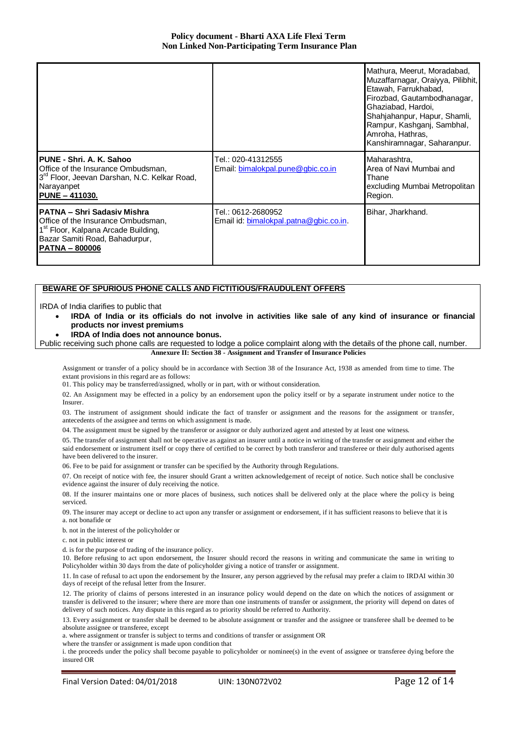|                                                                                                                                                                                         |                                                              | Mathura, Meerut, Moradabad,<br>Muzaffarnagar, Oraiyya, Pilibhit,<br>Etawah, Farrukhabad,<br>Firozbad, Gautambodhanagar,<br>Ghaziabad, Hardoi,<br>Shahjahanpur, Hapur, Shamli,<br>Rampur, Kashganj, Sambhal,<br>Amroha, Hathras,<br>Kanshiramnagar, Saharanpur. |
|-----------------------------------------------------------------------------------------------------------------------------------------------------------------------------------------|--------------------------------------------------------------|----------------------------------------------------------------------------------------------------------------------------------------------------------------------------------------------------------------------------------------------------------------|
| PUNE - Shri. A. K. Sahoo<br>Office of the Insurance Ombudsman,<br>3 <sup>rd</sup> Floor, Jeevan Darshan, N.C. Kelkar Road,<br>Narayanpet<br>PUNE - 411030.                              | Tel.: 020-41312555<br>Email: bimalokpal.pune@gbic.co.in      | Maharashtra,<br>Area of Navi Mumbai and<br>Thane<br>excluding Mumbai Metropolitan<br>Region.                                                                                                                                                                   |
| <b>IPATNA – Shri Sadasiv Mishra</b><br>Office of the Insurance Ombudsman,<br>1 <sup>st</sup> Floor, Kalpana Arcade Building,<br>Bazar Samiti Road, Bahadurpur,<br><b>PATNA - 800006</b> | Tel.: 0612-2680952<br>Email id: bimalokpal.patna@gbic.co.in. | Bihar, Jharkhand.                                                                                                                                                                                                                                              |

#### **BEWARE OF SPURIOUS PHONE CALLS AND FICTITIOUS/FRAUDULENT OFFERS**

IRDA of India clarifies to public that

- **IRDA of India or its officials do not involve in activities like sale of any kind of insurance or financial products nor invest premiums**
- **IRDA of India does not announce bonus.**

Public receiving such phone calls are requested to lodge a police complaint along with the details of the phone call, number. **Annexure II: Section 38 - Assignment and Transfer of Insurance Policies**

Assignment or transfer of a policy should be in accordance with Section 38 of the Insurance Act, 1938 as amended from time to time. The extant provisions in this regard are as follows:

01. This policy may be transferred/assigned, wholly or in part, with or without consideration.

02. An Assignment may be effected in a policy by an endorsement upon the policy itself or by a separate instrument under notice to the Insurer.

03. The instrument of assignment should indicate the fact of transfer or assignment and the reasons for the assignment or transfer, antecedents of the assignee and terms on which assignment is made.

04. The assignment must be signed by the transferor or assignor or duly authorized agent and attested by at least one witness.

05. The transfer of assignment shall not be operative as against an insurer until a notice in writing of the transfer or assignment and either the said endorsement or instrument itself or copy there of certified to be correct by both transferor and transferee or their duly authorised agents have been delivered to the insurer.

06. Fee to be paid for assignment or transfer can be specified by the Authority through Regulations.

07. On receipt of notice with fee, the insurer should Grant a written acknowledgement of receipt of notice. Such notice shall be conclusive evidence against the insurer of duly receiving the notice.

08. If the insurer maintains one or more places of business, such notices shall be delivered only at the place where the policy is being serviced.

09. The insurer may accept or decline to act upon any transfer or assignment or endorsement, if it has sufficient reasons to believe that it is a. not bonafide or

b. not in the interest of the policyholder or

c. not in public interest or

d. is for the purpose of trading of the insurance policy.

10. Before refusing to act upon endorsement, the Insurer should record the reasons in writing and communicate the same in writing to Policyholder within 30 days from the date of policyholder giving a notice of transfer or assignment.

11. In case of refusal to act upon the endorsement by the Insurer, any person aggrieved by the refusal may prefer a claim to IRDAI within 30 days of receipt of the refusal letter from the Insurer.

12. The priority of claims of persons interested in an insurance policy would depend on the date on which the notices of assignment or transfer is delivered to the insurer; where there are more than one instruments of transfer or assignment, the priority will depend on dates of delivery of such notices. Any dispute in this regard as to priority should be referred to Authority.

13. Every assignment or transfer shall be deemed to be absolute assignment or transfer and the assignee or transferee shall be deemed to be absolute assignee or transferee, except

a. where assignment or transfer is subject to terms and conditions of transfer or assignment OR

where the transfer or assignment is made upon condition that

i. the proceeds under the policy shall become payable to policyholder or nominee(s) in the event of assignee or transferee dying before the insured OR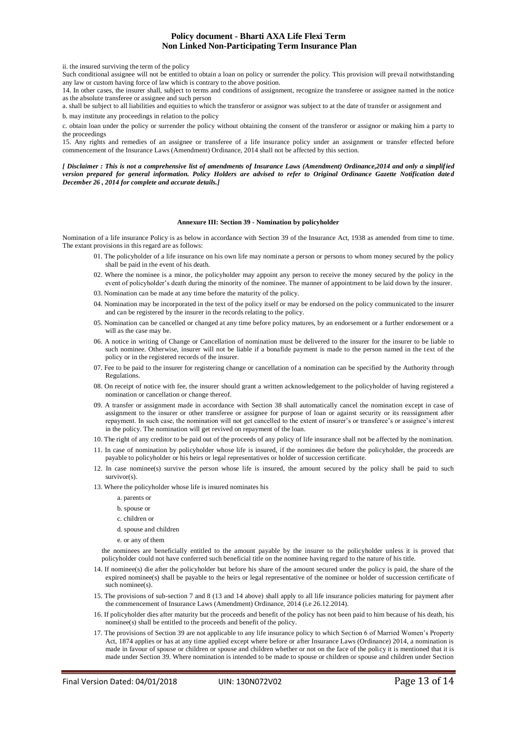ii. the insured surviving the term of the policy

Such conditional assignee will not be entitled to obtain a loan on policy or surrender the policy. This provision will prevail notwithstanding any law or custom having force of law which is contrary to the above position.

14. In other cases, the insurer shall, subject to terms and conditions of assignment, recognize the transferee or assignee named in the notice as the absolute transferee or assignee and such person

a. shall be subject to all liabilities and equities to which the transferor or assignor was subject to at the date of transfer or assignment and b. may institute any proceedings in relation to the policy

c. obtain loan under the policy or surrender the policy without obtaining the consent of the transferor or assignor or making him a party to the proceedings

15. Any rights and remedies of an assignee or transferee of a life insurance policy under an assignment or transfer effected before commencement of the Insurance Laws (Amendment) Ordinance, 2014 shall not be affected by this section.

*[ Disclaimer : This is not a comprehensive list of amendments of Insurance Laws (Amendment) Ordinance,2014 and only a simplified version prepared for general information. Policy Holders are advised to refer to Original Ordinance Gazette Notification dated December 26 , 2014 for complete and accurate details.]*

#### **Annexure III: Section 39 - Nomination by policyholder**

Nomination of a life insurance Policy is as below in accordance with Section 39 of the Insurance Act, 1938 as amended from time to time. The extant provisions in this regard are as follows:

- 01. The policyholder of a life insurance on his own life may nominate a person or persons to whom money secured by the policy shall be paid in the event of his death.
- 02. Where the nominee is a minor, the policyholder may appoint any person to receive the money secured by the policy in the event of policyholder's death during the minority of the nominee. The manner of appointment to be laid down by the insurer.
- 03. Nomination can be made at any time before the maturity of the policy.
- 04. Nomination may be incorporated in the text of the policy itself or may be endorsed on the policy communicated to the insurer and can be registered by the insurer in the records relating to the policy.
- 05. Nomination can be cancelled or changed at any time before policy matures, by an endorsement or a further endorsement or a will as the case may be.
- 06. A notice in writing of Change or Cancellation of nomination must be delivered to the insurer for the insurer to be liable to such nominee. Otherwise, insurer will not be liable if a bonafide payment is made to the person named in the text of the policy or in the registered records of the insurer.
- 07. Fee to be paid to the insurer for registering change or cancellation of a nomination can be specified by the Authority through Regulations.
- 08. On receipt of notice with fee, the insurer should grant a written acknowledgement to the policyholder of having registered a nomination or cancellation or change thereof.
- 09. A transfer or assignment made in accordance with Section 38 shall automatically cancel the nomination except in case of assignment to the insurer or other transferee or assignee for purpose of loan or against security or its reassignment after repayment. In such case, the nomination will not get cancelled to the extent of insurer's or transferee's or assignee's interest in the policy. The nomination will get revived on repayment of the loan.
- 10. The right of any creditor to be paid out of the proceeds of any policy of life insurance shall not be affected by the nomination.
- 11. In case of nomination by policyholder whose life is insured, if the nominees die before the policyholder, the proceeds are payable to policyholder or his heirs or legal representatives or holder of succession certificate.
- 12. In case nominee(s) survive the person whose life is insured, the amount secured by the policy shall be paid to such survivor(s).
- 13. Where the policyholder whose life is insured nominates his
	- a. parents or
	- b. spouse or
	- c. children or
	- d. spouse and children
	- e. or any of them

the nominees are beneficially entitled to the amount payable by the insurer to the policyholder unless it is proved that policyholder could not have conferred such beneficial title on the nominee having regard to the nature of his title.

- 14. If nominee(s) die after the policyholder but before his share of the amount secured under the policy is paid, the share of the expired nominee(s) shall be payable to the heirs or legal representative of the nominee or holder of succession certificate of such nominee(s).
- 15. The provisions of sub-section 7 and 8 (13 and 14 above) shall apply to all life insurance policies maturing for payment after the commencement of Insurance Laws (Amendment) Ordinance, 2014 (i.e 26.12.2014).
- 16. If policyholder dies after maturity but the proceeds and benefit of the policy has not been paid to him because of his death, his nominee(s) shall be entitled to the proceeds and benefit of the policy.
- 17. The provisions of Section 39 are not applicable to any life insurance policy to which Section 6 of Married Women's Property Act, 1874 applies or has at any time applied except where before or after Insurance Laws (Ordinance) 2014, a nomination is made in favour of spouse or children or spouse and children whether or not on the face of the policy it is mentioned that it is made under Section 39. Where nomination is intended to be made to spouse or children or spouse and children under Section